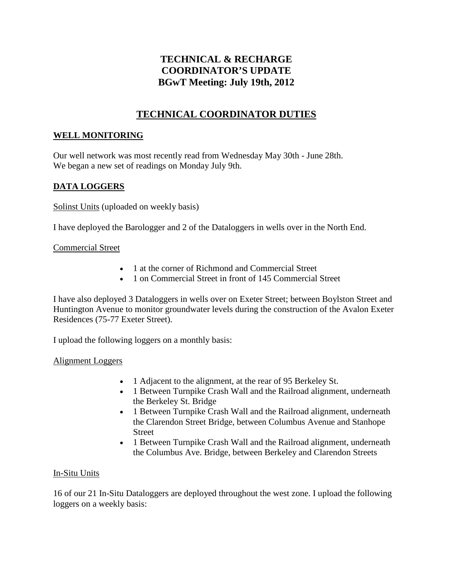# **TECHNICAL & RECHARGE COORDINATOR'S UPDATE BGwT Meeting: July 19th, 2012**

# **TECHNICAL COORDINATOR DUTIES**

## **WELL MONITORING**

Our well network was most recently read from Wednesday May 30th - June 28th. We began a new set of readings on Monday July 9th.

## **DATA LOGGERS**

Solinst Units (uploaded on weekly basis)

I have deployed the Barologger and 2 of the Dataloggers in wells over in the North End.

## Commercial Street

- 1 at the corner of Richmond and Commercial Street
- 1 on Commercial Street in front of 145 Commercial Street

I have also deployed 3 Dataloggers in wells over on Exeter Street; between Boylston Street and Huntington Avenue to monitor groundwater levels during the construction of the Avalon Exeter Residences (75-77 Exeter Street).

I upload the following loggers on a monthly basis:

### Alignment Loggers

- 1 Adjacent to the alignment, at the rear of 95 Berkeley St.
- 1 Between Turnpike Crash Wall and the Railroad alignment, underneath the Berkeley St. Bridge
- 1 Between Turnpike Crash Wall and the Railroad alignment, underneath the Clarendon Street Bridge, between Columbus Avenue and Stanhope **Street**
- 1 Between Turnpike Crash Wall and the Railroad alignment, underneath the Columbus Ave. Bridge, between Berkeley and Clarendon Streets

## In-Situ Units

16 of our 21 In-Situ Dataloggers are deployed throughout the west zone. I upload the following loggers on a weekly basis: